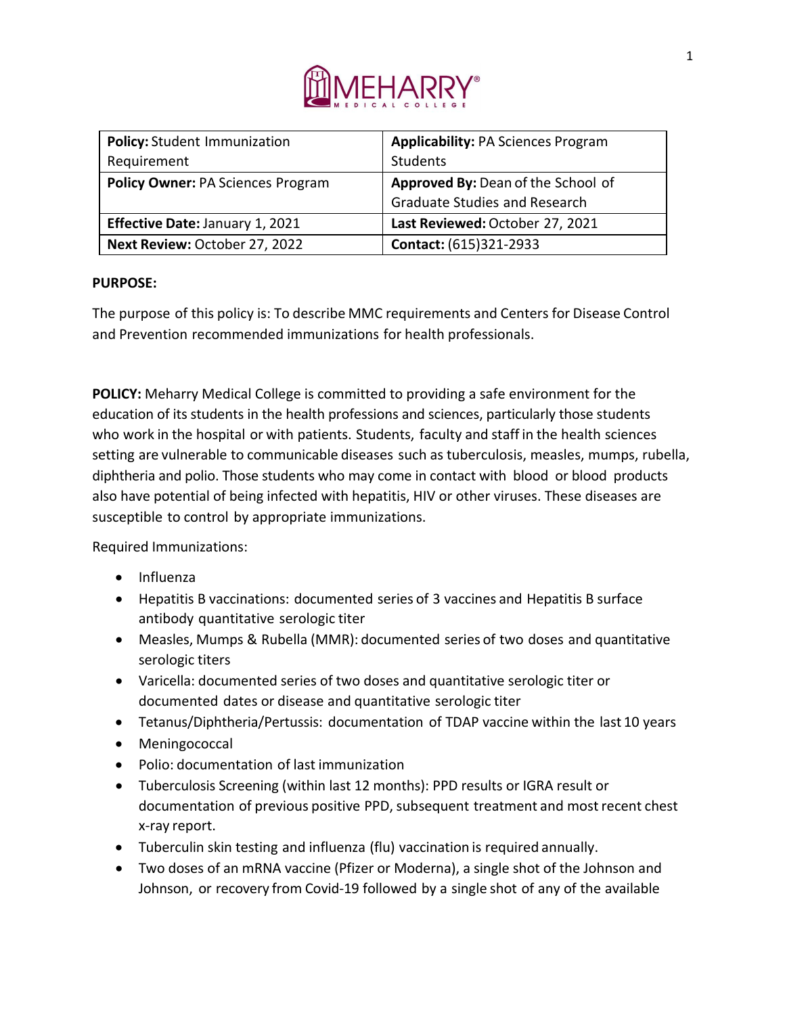

| <b>Policy: Student Immunization</b>      | <b>Applicability: PA Sciences Program</b> |
|------------------------------------------|-------------------------------------------|
| Requirement                              | Students                                  |
| <b>Policy Owner: PA Sciences Program</b> | Approved By: Dean of the School of        |
|                                          | <b>Graduate Studies and Research</b>      |
| <b>Effective Date: January 1, 2021</b>   | Last Reviewed: October 27, 2021           |
| Next Review: October 27, 2022            | Contact: (615)321-2933                    |

## **PURPOSE:**

The purpose of this policy is: To describe MMC requirements and Centers for Disease Control and Prevention recommended immunizations for health professionals.

**POLICY:** Meharry Medical College is committed to providing a safe environment for the education of its students in the health professions and sciences, particularly those students who work in the hospital or with patients. Students, faculty and staff in the health sciences setting are vulnerable to communicable diseases such as tuberculosis, measles, mumps, rubella, diphtheria and polio. Those students who may come in contact with blood or blood products also have potential of being infected with hepatitis, HIV or other viruses. These diseases are susceptible to control by appropriate immunizations.

Required Immunizations:

- Influenza
- Hepatitis B vaccinations: documented series of 3 vaccines and Hepatitis B surface antibody quantitative serologic titer
- Measles, Mumps & Rubella (MMR): documented series of two doses and quantitative serologic titers
- Varicella: documented series of two doses and quantitative serologic titer or documented dates or disease and quantitative serologic titer
- Tetanus/Diphtheria/Pertussis: documentation of TDAP vaccine within the last 10 years
- Meningococcal
- Polio: documentation of last immunization
- Tuberculosis Screening (within last 12 months): PPD results or IGRA result or documentation of previous positive PPD, subsequent treatment and most recent chest x-ray report.
- Tuberculin skin testing and influenza (flu) vaccination is required annually.
- Two doses of an mRNA vaccine (Pfizer or Moderna), a single shot of the Johnson and Johnson, or recovery from Covid-19 followed by a single shot of any of the available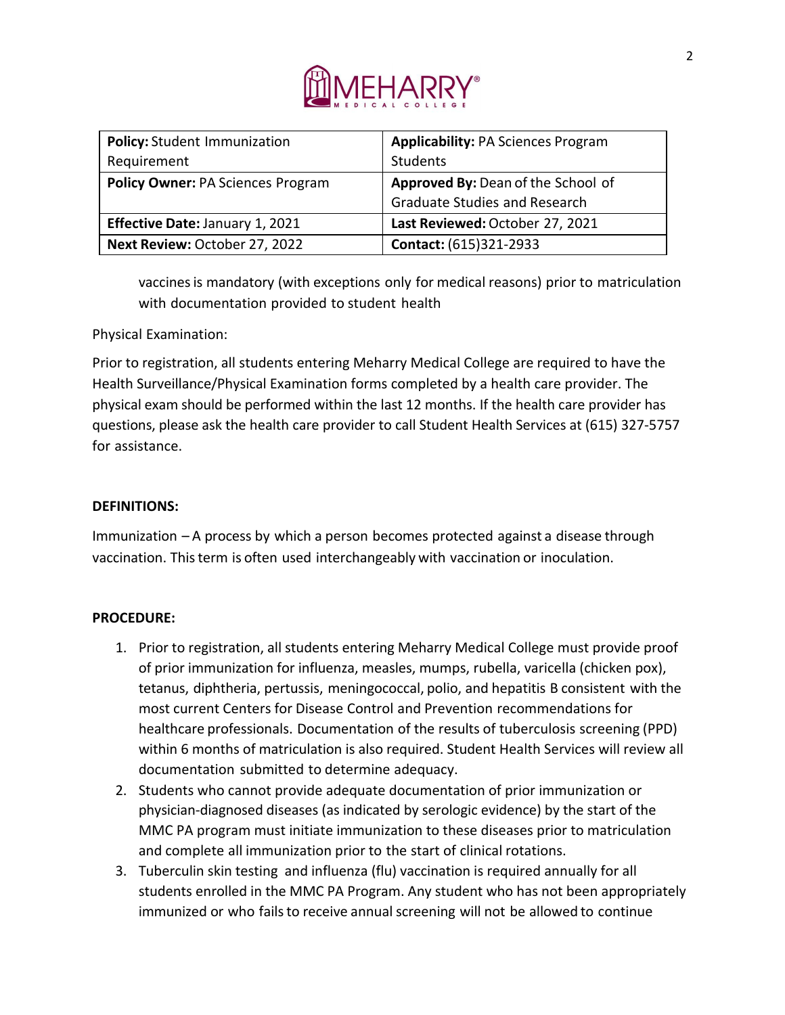

| <b>Policy: Student Immunization</b>      | <b>Applicability: PA Sciences Program</b> |
|------------------------------------------|-------------------------------------------|
| Requirement                              | Students                                  |
| <b>Policy Owner: PA Sciences Program</b> | Approved By: Dean of the School of        |
|                                          | <b>Graduate Studies and Research</b>      |
| Effective Date: January 1, 2021          | Last Reviewed: October 27, 2021           |
| Next Review: October 27, 2022            | Contact: (615)321-2933                    |

vaccinesis mandatory (with exceptions only for medical reasons) prior to matriculation with documentation provided to student health

Physical Examination:

Prior to registration, all students entering Meharry Medical College are required to have the Health Surveillance/Physical Examination forms completed by a health care provider. The physical exam should be performed within the last 12 months. If the health care provider has questions, please ask the health care provider to call Student Health Services at (615) 327-5757 for assistance.

## **DEFINITIONS:**

Immunization – A process by which a person becomes protected against a disease through vaccination. Thisterm is often used interchangeably with vaccination or inoculation.

## **PROCEDURE:**

- 1. Prior to registration, all students entering Meharry Medical College must provide proof of prior immunization for influenza, measles, mumps, rubella, varicella (chicken pox), tetanus, diphtheria, pertussis, meningococcal, polio, and hepatitis B consistent with the most current Centers for Disease Control and Prevention recommendations for healthcare professionals. Documentation of the results of tuberculosis screening (PPD) within 6 months of matriculation is also required. Student Health Services will review all documentation submitted to determine adequacy.
- 2. Students who cannot provide adequate documentation of prior immunization or physician-diagnosed diseases (as indicated by serologic evidence) by the start of the MMC PA program must initiate immunization to these diseases prior to matriculation and complete all immunization prior to the start of clinical rotations.
- 3. Tuberculin skin testing and influenza (flu) vaccination is required annually for all students enrolled in the MMC PA Program. Any student who has not been appropriately immunized or who fails to receive annual screening will not be allowed to continue